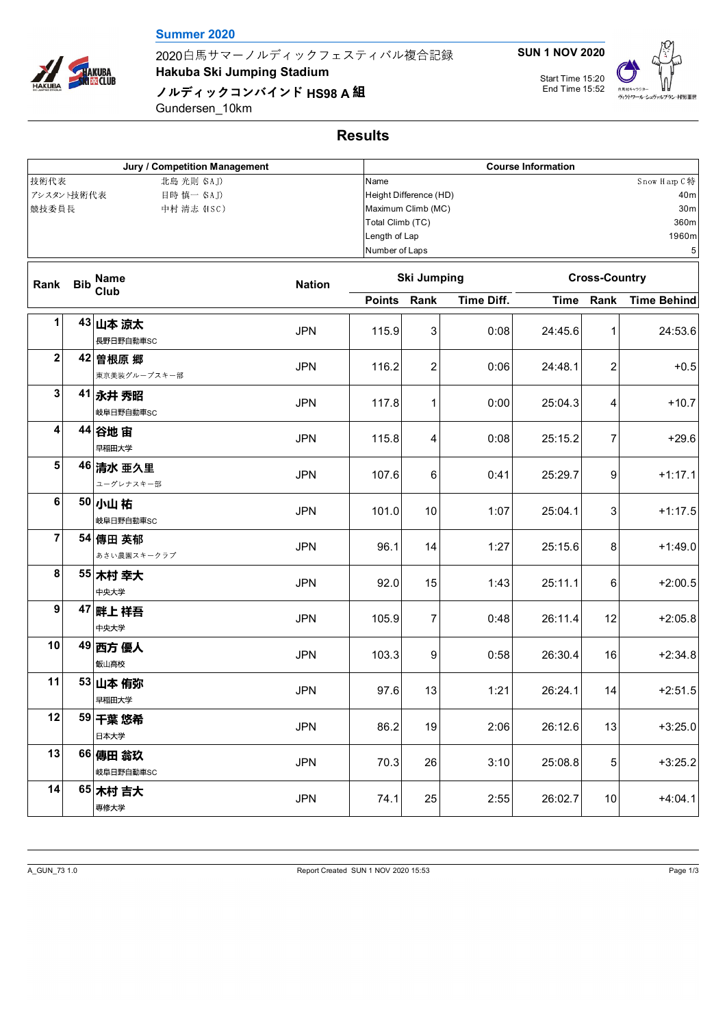## **Summer 2020**

2020白馬サマーノルディックフェスティバル複合記録

**Hakuba Ski Jumping Stadium**

**ノルディックコンバインド HS98 A 組** 

Gundersen\_10km

| Jury / Competition Management                                            |            |                          |               |                                                                                                                                                                             | <b>Course Information</b> |                   |             |                      |                    |  |  |
|--------------------------------------------------------------------------|------------|--------------------------|---------------|-----------------------------------------------------------------------------------------------------------------------------------------------------------------------------|---------------------------|-------------------|-------------|----------------------|--------------------|--|--|
| 技術代表<br>北島 光則 (SAJ)<br>アシスタント技術代表<br>目時 慎一 (SAJ)<br>競技委員長<br>中村 清志 (HSC) |            |                          |               | Snow Harp C特<br>Name<br>Height Difference (HD)<br>40m<br>Maximum Climb (MC)<br>30 <sub>m</sub><br>Total Climb (TC)<br>360m<br>Length of Lap<br>1960m<br>Number of Laps<br>5 |                           |                   |             |                      |                    |  |  |
| Rank                                                                     | <b>Bib</b> | Name<br>Club             | <b>Nation</b> |                                                                                                                                                                             | <b>Ski Jumping</b>        |                   |             | <b>Cross-Country</b> |                    |  |  |
|                                                                          |            |                          |               | <b>Points</b>                                                                                                                                                               | Rank                      | <b>Time Diff.</b> | <b>Time</b> | Rank                 | <b>Time Behind</b> |  |  |
| 1                                                                        |            | 43 山本 涼太<br>長野日野自動車SC    | <b>JPN</b>    | 115.9                                                                                                                                                                       | 3                         | 0:08              | 24:45.6     | 1                    | 24:53.6            |  |  |
| $\mathbf 2$                                                              |            | 42 曽根原 郷<br>東京美装グループスキー部 | <b>JPN</b>    | 116.2                                                                                                                                                                       | $\overline{c}$            | 0:06              | 24:48.1     | $\overline{2}$       | $+0.5$             |  |  |
| 3                                                                        |            | 41 永井 秀昭<br>岐阜日野自動車SC    | <b>JPN</b>    | 117.8                                                                                                                                                                       | $\mathbf{1}$              | 0:00              | 25:04.3     | 4                    | $+10.7$            |  |  |
| 4                                                                        |            | 44 谷地宙<br>早稲田大学          | <b>JPN</b>    | 115.8                                                                                                                                                                       | 4                         | 0:08              | 25:15.2     | 7                    | $+29.6$            |  |  |
| 5                                                                        |            | 46 清水 亜久里<br>ユーグレナスキー部   | <b>JPN</b>    | 107.6                                                                                                                                                                       | 6                         | 0:41              | 25:29.7     | 9                    | $+1:17.1$          |  |  |
| 6                                                                        |            | 50 小山祐<br>岐阜日野自動車SC      | <b>JPN</b>    | 101.0                                                                                                                                                                       | 10                        | 1:07              | 25:04.1     | 3                    | $+1:17.5$          |  |  |
| 7                                                                        |            | 54 傳田 英郁<br>あさい農園スキークラブ  | <b>JPN</b>    | 96.1                                                                                                                                                                        | 14                        | 1:27              | 25:15.6     | 8                    | $+1:49.0$          |  |  |
| 8                                                                        |            | 55 木村 幸大<br>中央大学         | <b>JPN</b>    | 92.0                                                                                                                                                                        | 15                        | 1:43              | 25:11.1     | 6                    | $+2:00.5$          |  |  |
| 9                                                                        |            | 47 畔上祥吾<br>中央大学          | <b>JPN</b>    | 105.9                                                                                                                                                                       | $\overline{7}$            | 0:48              | 26:11.4     | 12                   | $+2:05.8$          |  |  |
| 10                                                                       |            | 49 西方 優人<br>飯山高校         | <b>JPN</b>    | 103.3                                                                                                                                                                       | 9                         | 0:58              | 26:30.4     | 16                   | $+2:34.8$          |  |  |
| 11                                                                       |            | 53 山本 侑弥<br>早稲田大学        | <b>JPN</b>    | 97.6                                                                                                                                                                        | 13                        | 1:21              | 26:24.1     | 14                   | $+2:51.5$          |  |  |
| 12                                                                       |            | 59 干葉 悠希<br>日本大学         | <b>JPN</b>    | 86.2                                                                                                                                                                        | 19                        | 2:06              | 26:12.6     | 13                   | $+3:25.0$          |  |  |
| 13                                                                       |            | 66 傳田 翁玖<br>岐阜日野自動車SC    | <b>JPN</b>    | 70.3                                                                                                                                                                        | 26                        | 3:10              | 25:08.8     | 5                    | $+3:25.2$          |  |  |
| 14                                                                       |            | 65 木村 吉大<br>専修大学         | <b>JPN</b>    | 74.1                                                                                                                                                                        | 25                        | 2:55              | 26:02.7     | 10                   | $+4:04.1$          |  |  |



HAKUBA HAKUBA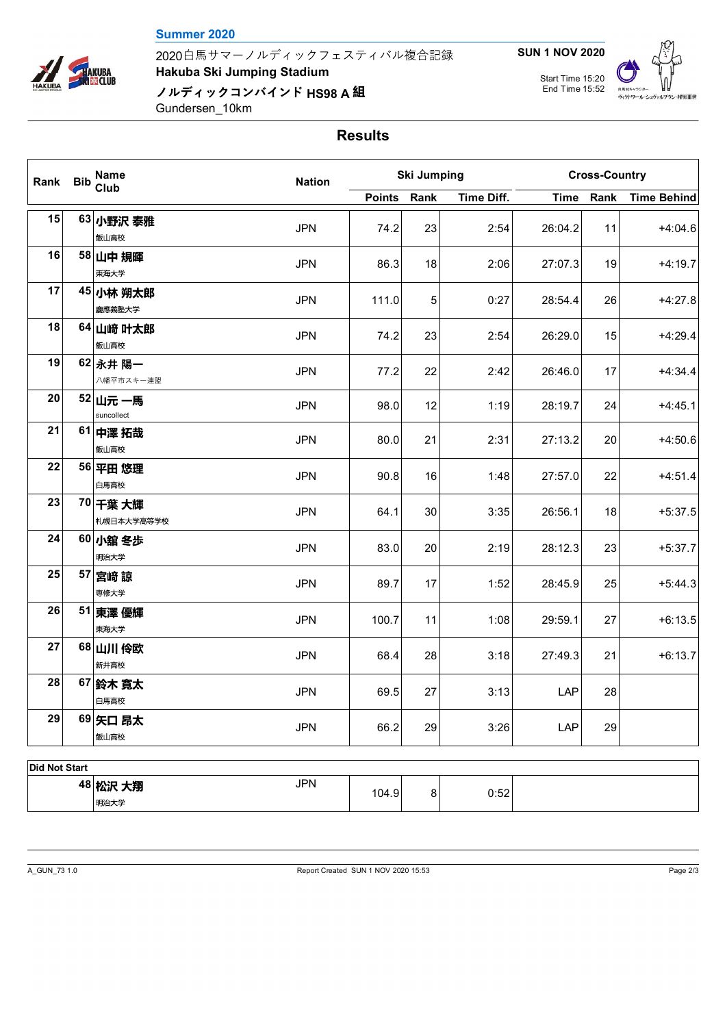## **Summer 2020**

**HAKUBA<br>KIES** CLUB

2020白馬サマーノルディックフェスティバル複合記録

**Hakuba Ski Jumping Stadium**

**ノルディックコンバインド HS98 A 組** 

Gundersen\_10km

|  | <b>SUN 1 NOV 2020</b> |  |
|--|-----------------------|--|
|  |                       |  |



## **Results**

| Rank | <b>Bib</b> | <b>Name</b><br>Club    | <b>Nation</b> | <b>Ski Jumping</b> |                 |            | <b>Cross-Country</b> |      |                    |
|------|------------|------------------------|---------------|--------------------|-----------------|------------|----------------------|------|--------------------|
|      |            |                        |               | <b>Points</b>      | Rank            | Time Diff. | <b>Time</b>          | Rank | <b>Time Behind</b> |
| 15   |            | 63 小野沢 泰雅<br>飯山高校      | <b>JPN</b>    | 74.2               | 23              | 2:54       | 26:04.2              | 11   | $+4:04.6$          |
| 16   |            | 58 山中規暉<br>東海大学        | <b>JPN</b>    | 86.3               | 18              | 2:06       | 27:07.3              | 19   | $+4:19.7$          |
| 17   |            | 45 小林 朔太郎<br>慶應義塾大学    | <b>JPN</b>    | 111.0              | $5\phantom{.0}$ | 0:27       | 28:54.4              | 26   | $+4:27.8$          |
| 18   |            | 64 山﨑 叶太郎<br>飯山高校      | <b>JPN</b>    | 74.2               | 23              | 2:54       | 26:29.0              | 15   | $+4:29.4$          |
| 19   |            | 62 永井 陽一<br>八幡平市スキー連盟  | <b>JPN</b>    | 77.2               | 22              | 2:42       | 26:46.0              | 17   | $+4:34.4$          |
| 20   |            | 52 山元 一馬<br>suncollect | <b>JPN</b>    | 98.0               | 12              | 1:19       | 28:19.7              | 24   | $+4:45.1$          |
| 21   |            | 61 中澤 拓哉<br>飯山高校       | <b>JPN</b>    | 80.0               | 21              | 2:31       | 27:13.2              | 20   | $+4:50.6$          |
| 22   |            | 56 平田 悠理<br>白馬高校       | <b>JPN</b>    | 90.8               | 16              | 1:48       | 27:57.0              | 22   | $+4:51.4$          |
| 23   |            | 70 千葉 大輝<br>札幌日本大学高等学校 | <b>JPN</b>    | 64.1               | 30              | 3:35       | 26:56.1              | 18   | $+5:37.5$          |
| 24   |            | 60 小舘 冬歩<br>明治大学       | <b>JPN</b>    | 83.0               | 20              | 2:19       | 28:12.3              | 23   | $+5:37.7$          |
| 25   |            | 57 宮崎 諒<br>専修大学        | <b>JPN</b>    | 89.7               | 17              | 1:52       | 28:45.9              | 25   | $+5:44.3$          |
| 26   |            | 51 東澤優輝<br>東海大学        | <b>JPN</b>    | 100.7              | 11              | 1:08       | 29:59.1              | 27   | $+6:13.5$          |
| 27   |            | 68 山川 伶欧<br>新井高校       | <b>JPN</b>    | 68.4               | 28              | 3:18       | 27:49.3              | 21   | $+6:13.7$          |
| 28   |            | 67 鈴木 寛太<br>白馬高校       | <b>JPN</b>    | 69.5               | 27              | 3:13       | LAP                  | 28   |                    |
| 29   |            | 69 矢口 昂太<br>飯山高校       | <b>JPN</b>    | 66.2               | 29              | 3:26       | LAP                  | 29   |                    |

| ושוט ויטו שושו           |      |            |       |   |      |  |  |  |
|--------------------------|------|------------|-------|---|------|--|--|--|
| 48 HA:0<br>大翔<br>-73 I.N |      | <b>JPN</b> | 104.9 | 8 | 0:52 |  |  |  |
|                          | 明治大学 |            |       |   |      |  |  |  |